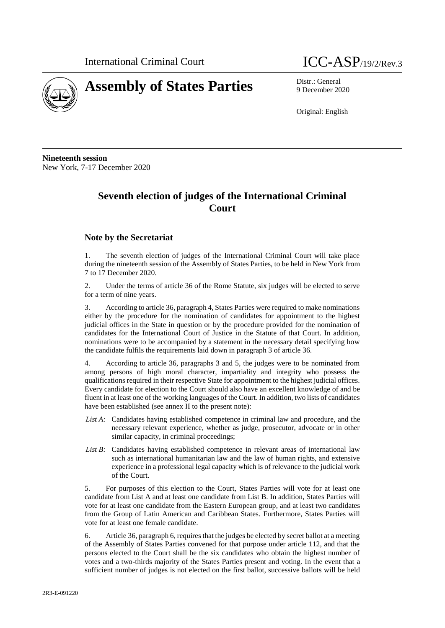

# **Assembly of States Parties** Distr.: General



9 December 2020

Original: English

**Nineteenth session** New York, 7-17 December 2020

# **Seventh election of judges of the International Criminal Court**

#### **Note by the Secretariat**

1. The seventh election of judges of the International Criminal Court will take place during the nineteenth session of the Assembly of States Parties, to be held in New York from 7 to 17 December 2020.

2. Under the terms of article 36 of the Rome Statute, six judges will be elected to serve for a term of nine years.

3. According to article 36, paragraph 4, States Parties were required to make nominations either by the procedure for the nomination of candidates for appointment to the highest judicial offices in the State in question or by the procedure provided for the nomination of candidates for the International Court of Justice in the Statute of that Court. In addition, nominations were to be accompanied by a statement in the necessary detail specifying how the candidate fulfils the requirements laid down in paragraph 3 of article 36.

4. According to article 36, paragraphs 3 and 5, the judges were to be nominated from among persons of high moral character, impartiality and integrity who possess the qualifications required in their respective State for appointment to the highest judicial offices. Every candidate for election to the Court should also have an excellent knowledge of and be fluent in at least one of the working languages of the Court. In addition, two lists of candidates have been established (see annex II to the present note):

- *List A:* Candidates having established competence in criminal law and procedure, and the necessary relevant experience, whether as judge, prosecutor, advocate or in other similar capacity, in criminal proceedings;
- List B: Candidates having established competence in relevant areas of international law such as international humanitarian law and the law of human rights, and extensive experience in a professional legal capacity which is of relevance to the judicial work of the Court.

5. For purposes of this election to the Court, States Parties will vote for at least one candidate from List A and at least one candidate from List B. In addition, States Parties will vote for at least one candidate from the Eastern European group, and at least two candidates from the Group of Latin American and Caribbean States. Furthermore, States Parties will vote for at least one female candidate.

6. Article 36, paragraph 6, requires that the judges be elected by secret ballot at a meeting of the Assembly of States Parties convened for that purpose under article 112, and that the persons elected to the Court shall be the six candidates who obtain the highest number of votes and a two-thirds majority of the States Parties present and voting. In the event that a sufficient number of judges is not elected on the first ballot, successive ballots will be held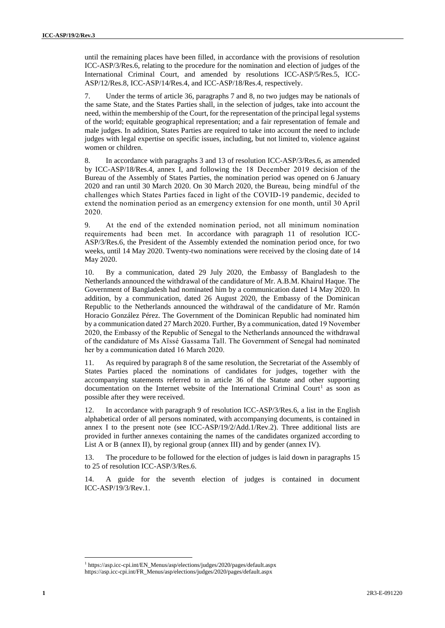until the remaining places have been filled, in accordance with the provisions of resolution ICC-ASP/3/Res.6, relating to the procedure for the nomination and election of judges of the International Criminal Court, and amended by resolutions ICC-ASP/5/Res.5, ICC-ASP/12/Res.8, ICC-ASP/14/Res.4, and ICC-ASP/18/Res.4, respectively.

7. Under the terms of article 36, paragraphs 7 and 8, no two judges may be nationals of the same State, and the States Parties shall, in the selection of judges, take into account the need, within the membership of the Court, for the representation of the principal legal systems of the world; equitable geographical representation; and a fair representation of female and male judges. In addition, States Parties are required to take into account the need to include judges with legal expertise on specific issues, including, but not limited to, violence against women or children.

8. In accordance with paragraphs 3 and 13 of resolution ICC-ASP/3/Res.6, as amended by ICC-ASP/18/Res.4, annex I, and following the 18 December 2019 decision of the Bureau of the Assembly of States Parties, the nomination period was opened on 6 January 2020 and ran until 30 March 2020. On 30 March 2020, the Bureau, being mindful of the challenges which States Parties faced in light of the COVID-19 pandemic, decided to extend the nomination period as an emergency extension for one month, until 30 April 2020.

9. At the end of the extended nomination period, not all minimum nomination requirements had been met. In accordance with paragraph 11 of resolution ICC-ASP/3/Res.6, the President of the Assembly extended the nomination period once, for two weeks, until 14 May 2020. Twenty-two nominations were received by the closing date of 14 May 2020.

10. By a communication, dated 29 July 2020, the Embassy of Bangladesh to the Netherlands announced the withdrawal of the candidature of Mr. A.B.M. Khairul Haque. The Government of Bangladesh had nominated him by a communication dated 14 May 2020. In addition, by a communication, dated 26 August 2020, the Embassy of the Dominican Republic to the Netherlands announced the withdrawal of the candidature of Mr. Ramón Horacio González Pérez. The Government of the Dominican Republic had nominated him by a communication dated 27 March 2020. Further, By a communication, dated 19 November 2020, the Embassy of the Republic of Senegal to the Netherlands announced the withdrawal of the candidature of Ms Aïssé Gassama Tall. The Government of Senegal had nominated her by a communication dated 16 March 2020.

11. As required by paragraph 8 of the same resolution, the Secretariat of the Assembly of States Parties placed the nominations of candidates for judges, together with the accompanying statements referred to in article 36 of the Statute and other supporting documentation on the Internet website of the International Criminal Court<sup>1</sup> as soon as possible after they were received.

In accordance with paragraph 9 of resolution ICC-ASP/3/Res.6, a list in the English alphabetical order of all persons nominated, with accompanying documents, is contained in annex I to the present note (see ICC-ASP/19/2/Add.1/Rev.2). Three additional lists are provided in further annexes containing the names of the candidates organized according to List A or B (annex II), by regional group (annex III) and by gender (annex IV).

13. The procedure to be followed for the election of judges is laid down in paragraphs 15 to 25 of resolution ICC-ASP/3/Res.6.

14. A guide for the seventh election of judges is contained in document ICC-ASP/19/3/Rev.1.

l

<sup>1</sup> https://asp.icc-cpi.int/EN\_Menus/asp/elections/judges/2020/pages/default.aspx https://asp.icc-cpi.int/FR\_Menus/asp/elections/judges/2020/pages/default.aspx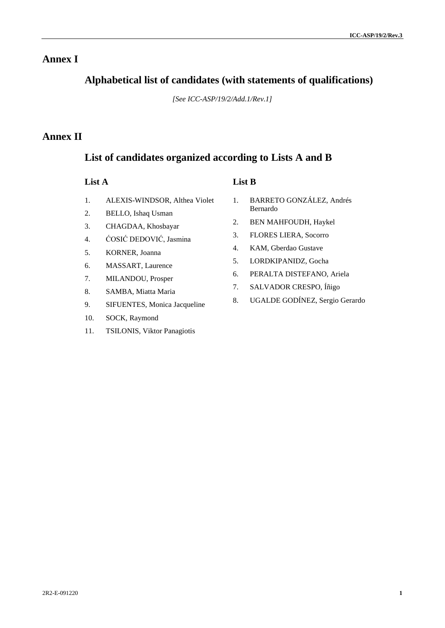## **Annex I**

# **Alphabetical list of candidates (with statements of qualifications)**

*[See ICC-ASP/19/2/Add.1/Rev.1]*

# **Annex II**

# **List of candidates organized according to Lists A and B**

- 1. ALEXIS-WINDSOR, Althea Violet
- 2. BELLO, Ishaq Usman
- 3. CHAGDAA, Khosbayar
- 4. ĆOSIĆ DEDOVIĆ, Jasmina
- 5. KORNER, Joanna
- 6. MASSART, Laurence
- 7. MILANDOU, Prosper
- 8. SAMBA, Miatta Maria
- 9. SIFUENTES, Monica Jacqueline
- 10. SOCK, Raymond
- 11. TSILONIS, Viktor Panagiotis

### **List A List B**

- 1. BARRETO GONZÁLEZ, Andrés Bernardo
- 2. BEN MAHFOUDH, Haykel
- 3. FLORES LIERA, Socorro
- 4. KAM, Gberdao Gustave
- 5. LORDKIPANIDZ, Gocha
- 6. PERALTA DISTEFANO, Ariela
- 7. SALVADOR CRESPO, Íñigo
- 8. UGALDE GODÍNEZ, Sergio Gerardo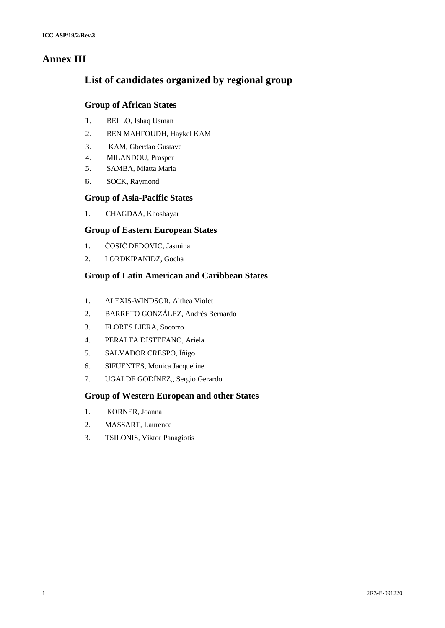# **Annex III**

# **List of candidates organized by regional group**

#### **Group of African States**

- 1. BELLO, Ishaq Usman
- 2. BEN MAHFOUDH, Haykel KAM
- 3. KAM, Gberdao Gustave
- 4. MILANDOU, Prosper
- 3. 5. SAMBA, Miatta Maria
- 6. SOCK, Raymond

#### **Group of Asia-Pacific States**

1. CHAGDAA, Khosbayar

### **Group of Eastern European States**

- 1. ĆOSIĆ DEDOVIĆ, Jasmina
- 2. LORDKIPANIDZ, Gocha

### **Group of Latin American and Caribbean States**

- 1. ALEXIS-WINDSOR, Althea Violet
- 2. BARRETO GONZÁLEZ, Andrés Bernardo
- 3. FLORES LIERA, Socorro
- 4. PERALTA DISTEFANO, Ariela
- 5. SALVADOR CRESPO, Íñigo
- 6. SIFUENTES, Monica Jacqueline
- 7. UGALDE GODÍNEZ,, Sergio Gerardo

### **Group of Western European and other States**

- 1. KORNER, Joanna
- 2. MASSART, Laurence
- 3. TSILONIS, Viktor Panagiotis